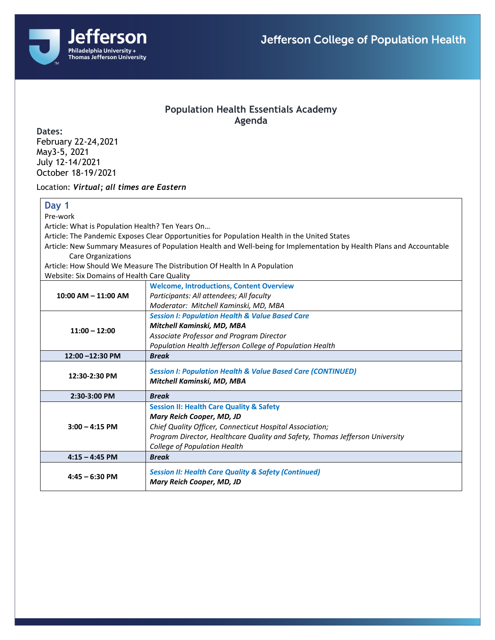

## **Population Health Essentials Academy Agenda**

**Dates:** February 22-24,2021 May3-5, 2021 July 12-14/2021 October 18-19/2021

Location: *Virtual; all times are Eastern*

## **Day 1**

Pre-work

Article: What is Population Health? Ten Years On…

Article: The Pandemic Exposes Clear Opportunities for Population Health in the United States

Article: New Summary Measures of Population Health and Well-being for Implementation by Health Plans and Accountable Care Organizations

Article: How Should We Measure The Distribution Of Health In A Population Website: Six Domains of Health Care Quality

| website: Six Domains or Health care Quality |                                                                                              |
|---------------------------------------------|----------------------------------------------------------------------------------------------|
| $10:00$ AM $- 11:00$ AM                     | <b>Welcome, Introductions, Content Overview</b>                                              |
|                                             | Participants: All attendees; All faculty                                                     |
|                                             | Moderator: Mitchell Kaminski, MD, MBA                                                        |
| $11:00 - 12:00$                             | <b>Session I: Population Health &amp; Value Based Care</b>                                   |
|                                             | Mitchell Kaminski, MD, MBA                                                                   |
|                                             | Associate Professor and Program Director                                                     |
|                                             | Population Health Jefferson College of Population Health                                     |
| 12:00 -12:30 PM                             | <b>Break</b>                                                                                 |
| 12:30-2:30 PM                               | <b>Session I: Population Health &amp; Value Based Care (CONTINUED)</b>                       |
|                                             | Mitchell Kaminski, MD, MBA                                                                   |
|                                             |                                                                                              |
|                                             |                                                                                              |
| 2:30-3:00 PM                                | <b>Break</b>                                                                                 |
|                                             | <b>Session II: Health Care Quality &amp; Safety</b>                                          |
|                                             | Mary Reich Cooper, MD, JD                                                                    |
| $3:00 - 4:15$ PM                            | Chief Quality Officer, Connecticut Hospital Association;                                     |
|                                             | Program Director, Healthcare Quality and Safety, Thomas Jefferson University                 |
|                                             | College of Population Health                                                                 |
| $4:15 - 4:45$ PM                            | <b>Break</b>                                                                                 |
|                                             |                                                                                              |
| $4:45 - 6:30$ PM                            | <b>Session II: Health Care Quality &amp; Safety (Continued)</b><br>Mary Reich Cooper, MD, JD |